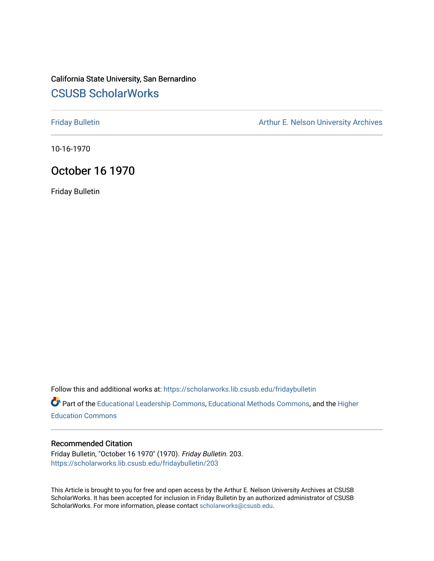## California State University, San Bernardino [CSUSB ScholarWorks](https://scholarworks.lib.csusb.edu/)

[Friday Bulletin](https://scholarworks.lib.csusb.edu/fridaybulletin) **Arthur E. Nelson University Archives** Arthur E. Nelson University Archives

10-16-1970

## October 16 1970

Friday Bulletin

Follow this and additional works at: [https://scholarworks.lib.csusb.edu/fridaybulletin](https://scholarworks.lib.csusb.edu/fridaybulletin?utm_source=scholarworks.lib.csusb.edu%2Ffridaybulletin%2F203&utm_medium=PDF&utm_campaign=PDFCoverPages)

Part of the [Educational Leadership Commons,](http://network.bepress.com/hgg/discipline/1230?utm_source=scholarworks.lib.csusb.edu%2Ffridaybulletin%2F203&utm_medium=PDF&utm_campaign=PDFCoverPages) [Educational Methods Commons,](http://network.bepress.com/hgg/discipline/1227?utm_source=scholarworks.lib.csusb.edu%2Ffridaybulletin%2F203&utm_medium=PDF&utm_campaign=PDFCoverPages) and the [Higher](http://network.bepress.com/hgg/discipline/1245?utm_source=scholarworks.lib.csusb.edu%2Ffridaybulletin%2F203&utm_medium=PDF&utm_campaign=PDFCoverPages) [Education Commons](http://network.bepress.com/hgg/discipline/1245?utm_source=scholarworks.lib.csusb.edu%2Ffridaybulletin%2F203&utm_medium=PDF&utm_campaign=PDFCoverPages) 

## Recommended Citation

Friday Bulletin, "October 16 1970" (1970). Friday Bulletin. 203. [https://scholarworks.lib.csusb.edu/fridaybulletin/203](https://scholarworks.lib.csusb.edu/fridaybulletin/203?utm_source=scholarworks.lib.csusb.edu%2Ffridaybulletin%2F203&utm_medium=PDF&utm_campaign=PDFCoverPages)

This Article is brought to you for free and open access by the Arthur E. Nelson University Archives at CSUSB ScholarWorks. It has been accepted for inclusion in Friday Bulletin by an authorized administrator of CSUSB ScholarWorks. For more information, please contact [scholarworks@csusb.edu.](mailto:scholarworks@csusb.edu)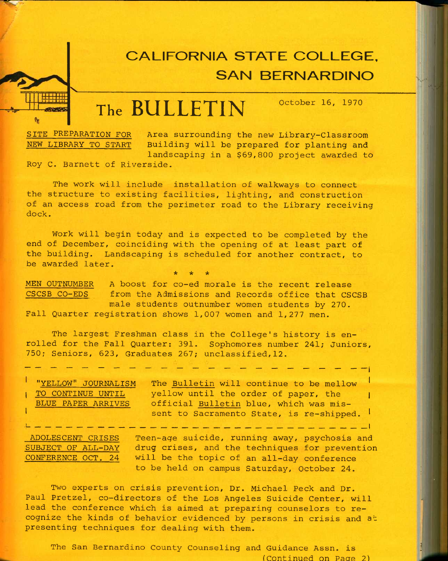## **CALIFORNIA STATE COLLEGE. SAN BERNARDINO**

**The BULLETIN** October 16, 1970

SITE PREPARATION FOR NEW LIBRARY TO START

Area surrounding the new Library-Classroom Building will be prepared for planting and landscaping in a \$69,800 project awarded to

Roy C. Barnett of Riverside.

The work will include installation of walkways to connect the structure to existing facilities, lighting, and construction of an access road from the perimeter road to the Library receiving dock.

Work will begin today and is expected to be completed by the end of December, coinciding with the opening of at least part of the building. Landscaping is scheduled for another contract, to be awarded later.

MEN OUTNUMBER A boost for co-ed morale is the recent release CSCSB CO-EDS from the Admissions and Records office that CSCSB male students outnumber women students by 270. Fall Quarter registration shows 1,007 women and 1,277 men.

**\* \* \*** 

The largest Freshman class in the College's history is enrolled for the Fall Quarter: 391. Sophomores number 241; Juniors, 750; Seniors, 623, Graduates 267; unclassified,12.

WELLOW" JOURNALISM The Bulletin will continue to be mellow <sup>|</sup><br>| <u>TO CONTINUE UNTIL</u> Yellow until the order of paper, the |<br>| BIUE BARER ARRIVES | official Pullatin blue added the equipment BLUE PAPER ARRIVES official Bulletin blue, which was mis sent to Sacramento State, is re-shipped.

.1 I

ADOLESCENT CRISES Teen-age suicide, running away, psychosis and SUBJECT OF ALL-DAY drug crises, and the techniques for prevention CONFERENCE OCT. 24 will be the topic of an all-day conference to be held on campus Saturday, October 24.

Two experts on crisis prevention, Dr. Michael Peck and Dr. Paul Pretzel, co-directors of the Los Angeles Suicide Center, will lead the conference which is aimed at preparing counselors to recognize the kinds of behavior evidenced by persons in crisis and at presenting techniques for dealing with them.

The San Bernardino County Counseling and Guidance Assn. is (Continued on Pace *2)*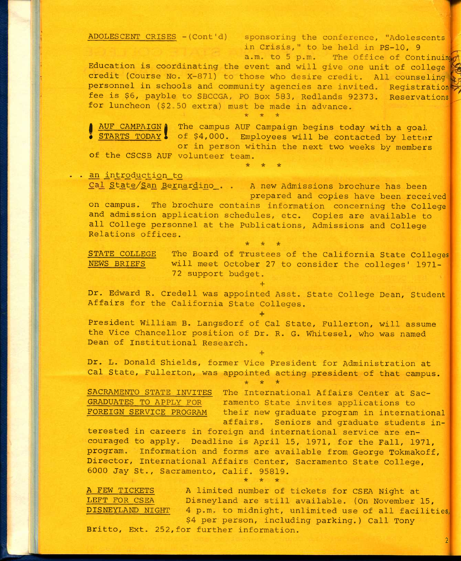ADOLESCENT CRISES -(Cont'd) sponsoring the conference, "Adolescents in Crisis," to be held in PS-10, 9

a.m. to 5 p.m. The Office of Continuint Education is coordinating the event and will give one unit of college credit (Course No. X-871) to those who desire credit. All counseling personnel in schools and community agencies are invited. Registration fee is \$6, payble to SBCCGA, PO Box 583, Redlands 92373. Reservations for luncheon (\$2.50 extra) must be made in advance. credit (Course No. X-871) to those who desire credit. All counsels<br>personnel in schools and community agencies are invited. Registra-<br>fee is \$6, payble to SBCCGA, PO Box 583, Redlands 92373. Reservat:<br>for luncheon (\$2.50 e

STARTS TODAY of \$4,000. Employees will be contacted by letter or in person within the next two weeks by members

**\* \* \*** 

**\*** 

of the CSCSB AUF volunteer team.

. . an introduction to

Cal State/San Bernardino . . A new Admissions brochure has been prepared and copies have been received on campus. The brochure contains information concerning the College and admission application schedules, etc. Copies are available to all College personnel at the Publications, Admissions and College Relations offices.

STATE COLLEGE The Board of Trustees of the California State Colleges NEWS BRIEFS will meet October 27 to consider the colleges' 1971- 72 support budget.

**\* \* \*** 

Dr. Edward R. Credell was appointed Asst. State College Dean, Student Affairs for the California State Colleges.

**+** 

**+** 

President William B. Langsdorf of Cal State, Fullerton, will assume the Vice Chancellor position of Dr. R. G. Whitesel, who was named Dean of Institutional Research.

Dr. L. Donald Shields, former Vice President for Administration at Cal State, Fullerton, was appointed acting president of that campus.

**\* \* \*** 

**+** 

SACRAMENTO STATE INVITES The International Affairs Center at Sac-GRADUATES TO APPLY FOR ramento State invites applications to FOREIGN SERVICE PROGRAM their new graduate program in international affairs. Seniors and graduate students in-

**2** 

terested in careers in foreign and international service are encouraged to apply. Deadline is April 15, 1971, for the Fall, 1971, program. Information and forms are available from George Tokmakoff, Director, International Affairs Center, Sacramento State College, 6000 Jay St., Sacramento, Calif. 95819. **\* \* \*** 

A FEW TICKETS A limited number of tickets for CSEA Night at LEFT FOR CSEA Disneyland are still available. (On November 15, DISNEYLAND NIGHT 4 p.m. to midnight, unlimited use of all facilities, \$4 per person, including parking.) Call Tony Britto, Ext. 252,for further information.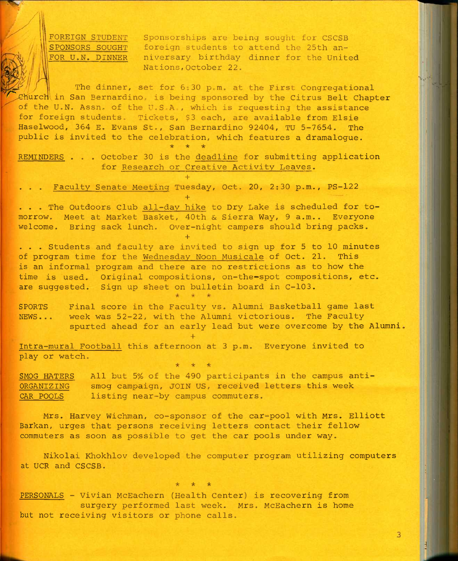FOREIGN STUDENT SPONSORS SOUGHT FOR U.N. DINNER

Sponsorships are being sought for CSCSB foreign students to attend the 25th anniversary birthday dinner for the United Nations,October 22.

The dinner, set for 6:30 p.m. at the First Congregational Church in San Bernardino, is being sponsored by the Citrus Belt Chapter of the U.N. Assn. of the U.S.A., which is requesting the assistance for foreign students. Tickets, \$3 each, are available from Elsie Haselwood, 364 E. Evans St., San Bernardino 92404, TU 5-7654. The public is invited to the celebration, which features a dramalogue. \* \* \*

REMINDERS . . . October 30 is the deadline for submitting application for Research or Creative Activity Leaves.

+ Faculty Senate Meeting Tuesday, Oct. 20, 2:30 p.m., PS-122 **+** 

. . . The Outdoors Club all-day hike to Dry Lake is scheduled for tomorrow. Meet at Market Basket, 40th & Sierra Way, 9 a.m.. Everyone welcome. Bring sack lunch. Over-night campers should bring packs. **+** 

... Students and faculty are invited to sign up for 5 to 10 minutes of program time for the Wednesday Noon Musicale of Oct. 21. This is an informal program and there are no restrictions as to how the time is used. Original compositions, on-the-spot compositions, etc. are suggested. Sign up sheet on bulletin board in C-103.

SPORTS Final score in the Faculty vs. Alumni Basketball game last NEWS... week was 52-22, with the Alumni victorious. The Faculty spurted ahead for an early lead but were overcome by the Alumni,

*•i-'* 

Intra-mural Football this afternoon at 3 p.m. Everyone invited to play or watch.

**+** 

SMOG HATERS All but 5% of the 490 participants in the campus anti-ORGANIZING smog campaign, JOIN US, received letters this week CAR POOLS listing near-by campus commuters.

Mrs. Harvey Wichman, co-sponsor of the car-pool with Mrs. Elliott Barkan, urges that persons receiving letters contact their fellow commuters as soon as possible to get the car pools under way.

Nikolai Khokhlov developed the computer program utilizing computers at UCR and CSCSB.

PERSONALS - Vivian McEachern (Health Center) is recovering from surgery performed last week. Mrs. McEachern is home but not receiving visitors or phone calls.

\* \* \*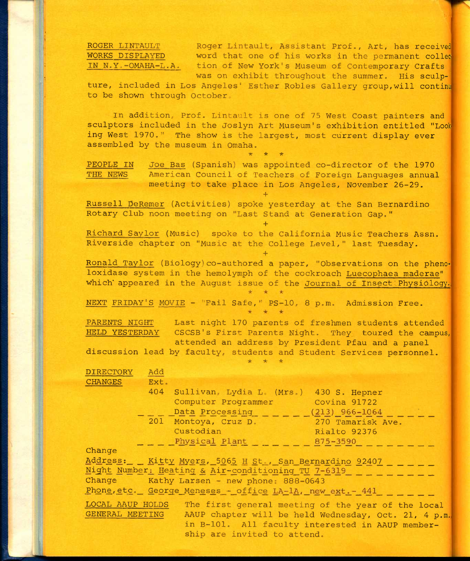ROGER LINTAULT Roger Lintault, Assistant Prof., Art, has received<br>WORKS DISPLAYED word that one of his works in the permanent colled WORKS DISPLAYED word that one of his works in the permanent colled<br>IN N.Y.-OMAHA-L.A. tion of New York's Museum of Contemporary Crafts tion of New York's Museum of Contemporary Crafts was on exhibit throughout the summer. His sculp-

ture, included in Los Angeles' Esther Robles Gallery group,will continu to be shown through October.

In addition, Prof. Lintault is one of 75 West Coast painters and sculptors included in the Joslyn Art Museum's exhibition entitled "Look ing West 1970." The show is the largest, most current display ever assembled by the museum in Omaha.

PEOPLE IN Joe Bas (Spanish) was appointed co-director of the 1970 THE NEWS American Council of Teachers of Foreign Languages annual meeting to take place in Los Angeles, November 26-29.

**+** 

**+** 

*"k ie rk* 

Russell DeRemer (Activities) spoke yesterday at the San Bernardino Rotary Club noon meeting on "Last Stand at Generation Gap."

Richard Saylor (Music) spoke to the California Music Teachers Assn. Riverside chapter on "Music at the College Level," last Tuesday.

Ronald Taylor (Biology) co-authored a paper, "Observations on the phenoloxidase system in the hemolymph of the cockroach Luecophaea maderae" which appeared in the August issue of the Journal of Insect Physiology.

**+** 

NEXT FRIDAY'S MOVIE - "Fail Safe," PS-10, 8 p.m. Admission Free.

PARENTS NIGHT Last night 170 parents of freshmen students attended HELD YESTERDAY CSCSB's First Parents Night. They toured the campus, attended an address by President Pfau and a panel discussion lead by faculty, students and Student Services personnel.

|                                                                        |      | $\frac{1}{2} \frac{1}{2} \left( \frac{1}{2} \right) \frac{1}{2} \left( \frac{1}{2} \right) \frac{1}{2} \left( \frac{1}{2} \right) \frac{1}{2} \left( \frac{1}{2} \right) \frac{1}{2} \left( \frac{1}{2} \right) \frac{1}{2} \left( \frac{1}{2} \right) \frac{1}{2} \left( \frac{1}{2} \right) \frac{1}{2} \left( \frac{1}{2} \right) \frac{1}{2} \left( \frac{1}{2} \right) \frac{1}{2} \left( \frac{1}{2} \right) \frac{1}{2} \left( \frac{$ |                                                  |
|------------------------------------------------------------------------|------|-----------------------------------------------------------------------------------------------------------------------------------------------------------------------------------------------------------------------------------------------------------------------------------------------------------------------------------------------------------------------------------------------------------------------------------------------|--------------------------------------------------|
| DIRECTORY                                                              | Add  |                                                                                                                                                                                                                                                                                                                                                                                                                                               |                                                  |
| <b>CHANGES</b>                                                         | Ext. |                                                                                                                                                                                                                                                                                                                                                                                                                                               |                                                  |
|                                                                        | 404  | Sullivan, Lydia L. (Mrs.) 430 S. Hepner                                                                                                                                                                                                                                                                                                                                                                                                       |                                                  |
|                                                                        |      | Computer Programmer                                                                                                                                                                                                                                                                                                                                                                                                                           | Covina 91722                                     |
|                                                                        |      | Data Processing                                                                                                                                                                                                                                                                                                                                                                                                                               | $(213) 966 - 1064$                               |
|                                                                        |      | 201 Montoya, Cruz D.                                                                                                                                                                                                                                                                                                                                                                                                                          | <b>270 Tamarisk Ave.</b>                         |
|                                                                        |      | Custodian                                                                                                                                                                                                                                                                                                                                                                                                                                     | Rialto 92376                                     |
|                                                                        |      | Physical Plant                                                                                                                                                                                                                                                                                                                                                                                                                                | 875-3590                                         |
| Change                                                                 |      |                                                                                                                                                                                                                                                                                                                                                                                                                                               |                                                  |
| Address: Kitty Myers, 5065 H St., San Bernardino 92407                 |      |                                                                                                                                                                                                                                                                                                                                                                                                                                               |                                                  |
| Night Number: Heating & Air-conditioning TU 7-6319                     |      |                                                                                                                                                                                                                                                                                                                                                                                                                                               |                                                  |
| Change Kathy Larsen - new phone: 888-0643                              |      |                                                                                                                                                                                                                                                                                                                                                                                                                                               |                                                  |
| Phone, etc. George Meneses - office LA-1A, new ext. - 441              |      |                                                                                                                                                                                                                                                                                                                                                                                                                                               |                                                  |
| LOCAL AAUP HOLDS<br>The first general meeting of the year of the local |      |                                                                                                                                                                                                                                                                                                                                                                                                                                               |                                                  |
| GENERAL MEETING                                                        |      | AAUP chapter will be held Wednesday, Oct. 21, 4 p.m.                                                                                                                                                                                                                                                                                                                                                                                          |                                                  |
|                                                                        |      |                                                                                                                                                                                                                                                                                                                                                                                                                                               | in B-101. All faculty interested in AAUP member- |
|                                                                        |      | ship are invited to attend.                                                                                                                                                                                                                                                                                                                                                                                                                   |                                                  |